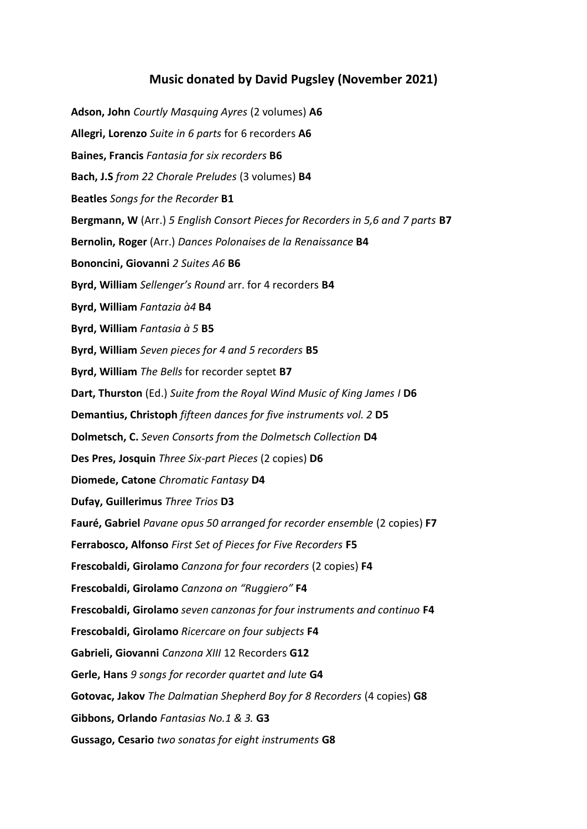## **Music donated by David Pugsley (November 2021)**

**Adson, John** *Courtly Masquing Ayres* (2 volumes) **A6 Allegri, Lorenzo** *Suite in 6 parts* for 6 recorders **A6 Baines, Francis** *Fantasia for six recorders* **B6 Bach, J.S** *from 22 Chorale Preludes* (3 volumes) **B4 Beatles** *Songs for the Recorder* **B1 Bergmann, W** (Arr.) *5 English Consort Pieces for Recorders in 5,6 and 7 parts* **B7 Bernolin, Roger** (Arr.) *Dances Polonaises de la Renaissance* **B4 Bononcini, Giovanni** *2 Suites A6* **B6 Byrd, William** *Sellenger's Round* arr. for 4 recorders **B4 Byrd, William** *Fantazia à4* **B4 Byrd, William** *Fantasia à 5* **B5 Byrd, William** *Seven pieces for 4 and 5 recorders* **B5 Byrd, William** *The Bells* for recorder septet **B7 Dart, Thurston** (Ed.) *Suite from the Royal Wind Music of King James I* **D6 Demantius, Christoph** *fifteen dances for five instruments vol. 2* **D5 Dolmetsch, C.** *Seven Consorts from the Dolmetsch Collection* **D4 Des Pres, Josquin** *Three Six-part Pieces* (2 copies) **D6 Diomede, Catone** *Chromatic Fantasy* **D4 Dufay, Guillerimus** *Three Trios* **D3 Fauré, Gabriel** *Pavane opus 50 arranged for recorder ensemble* (2 copies) **F7 Ferrabosco, Alfonso** *First Set of Pieces for Five Recorders* **F5 Frescobaldi, Girolamo** *Canzona for four recorders* (2 copies) **F4 Frescobaldi, Girolamo** *Canzona on "Ruggiero"* **F4 Frescobaldi, Girolamo** *seven canzonas for four instruments and continuo* **F4 Frescobaldi, Girolamo** *Ricercare on four subjects* **F4 Gabrieli, Giovanni** *Canzona XIII* 12 Recorders **G12 Gerle, Hans** *9 songs for recorder quartet and lute* **G4 Gotovac, Jakov** *The Dalmatian Shepherd Boy for 8 Recorders* (4 copies) **G8 Gibbons, Orlando** *Fantasias No.1 & 3.* **G3 Gussago, Cesario** *two sonatas for eight instruments* **G8**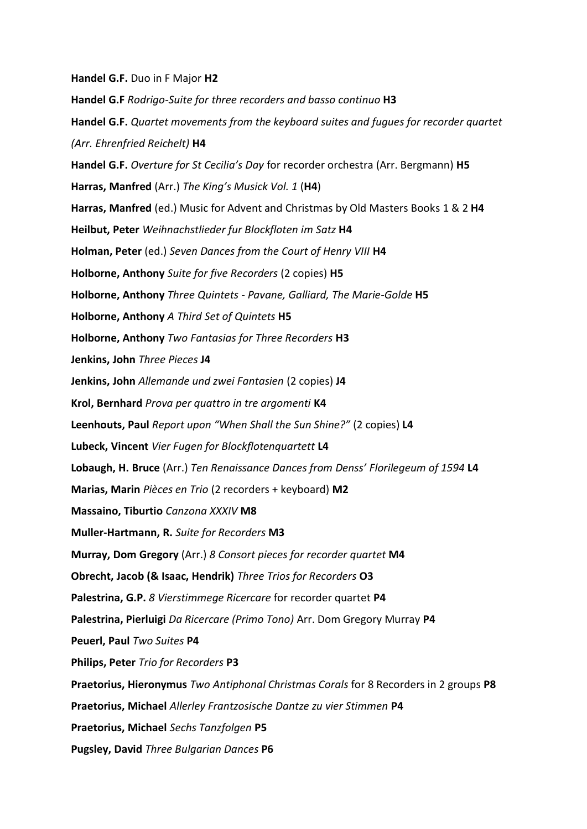**Handel G.F.** Duo in F Major **H2**

**Handel G.F** *Rodrigo-Suite for three recorders and basso continuo* **H3 Handel G.F.** *Quartet movements from the keyboard suites and fugues for recorder quartet (Arr. Ehrenfried Reichelt)* **H4 Handel G.F.** *Overture for St Cecilia's Day* for recorder orchestra (Arr. Bergmann) **H5 Harras, Manfred** (Arr.) *The King's Musick Vol. 1* (**H4**) **Harras, Manfred** (ed.) Music for Advent and Christmas by Old Masters Books 1 & 2 **H4 Heilbut, Peter** *Weihnachstlieder fur Blockfloten im Satz* **H4 Holman, Peter** (ed.) *Seven Dances from the Court of Henry VIII* **H4 Holborne, Anthony** *Suite for five Recorders* (2 copies) **H5 Holborne, Anthony** *Three Quintets - Pavane, Galliard, The Marie-Golde* **H5 Holborne, Anthony** *A Third Set of Quintets* **H5 Holborne, Anthony** *Two Fantasias for Three Recorders* **H3 Jenkins, John** *Three Pieces* **J4 Jenkins, John** *Allemande und zwei Fantasien* (2 copies) **J4 Krol, Bernhard** *Prova per quattro in tre argomenti* **K4 Leenhouts, Paul** *Report upon "When Shall the Sun Shine?"* (2 copies) **L4 Lubeck, Vincent** *Vier Fugen for Blockflotenquartett* **L4 Lobaugh, H. Bruce** (Arr.) *Ten Renaissance Dances from Denss' Florilegeum of 1594* **L4 Marias, Marin** *Pièces en Trio* (2 recorders + keyboard) **M2 Massaino, Tiburtio** *Canzona XXXIV* **M8 Muller-Hartmann, R.** *Suite for Recorders* **M3 Murray, Dom Gregory** (Arr.) *8 Consort pieces for recorder quartet* **M4 Obrecht, Jacob (& Isaac, Hendrik)** *Three Trios for Recorders* **O3 Palestrina, G.P.** *8 Vierstimmege Ricercare* for recorder quartet **P4 Palestrina, Pierluigi** *Da Ricercare (Primo Tono)* Arr. Dom Gregory Murray **P4 Peuerl, Paul** *Two Suites* **P4 Philips, Peter** *Trio for Recorders* **P3 Praetorius, Hieronymus** *Two Antiphonal Christmas Corals* for 8 Recorders in 2 groups **P8 Praetorius, Michael** *Allerley Frantzosische Dantze zu vier Stimmen* **P4 Praetorius, Michael** *Sechs Tanzfolgen* **P5 Pugsley, David** *Three Bulgarian Dances* **P6**